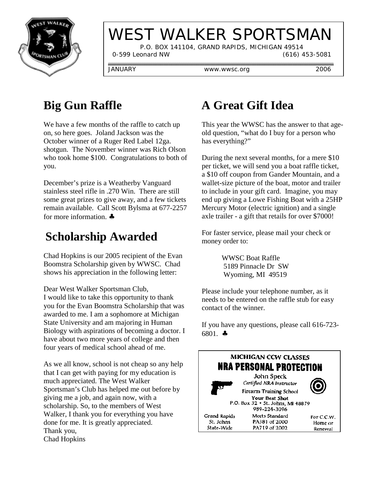

# WEST WALKER SPORTSMAN

 P.O. BOX 141104, GRAND RAPIDS, MICHIGAN 49514 0-599 Leonard NW (616) 453-5081

JANUARY www.wwsc.org 2006

## **Big Gun Raffle**

We have a few months of the raffle to catch up on, so here goes. Joland Jackson was the October winner of a Ruger Red Label 12ga. shotgun. The November winner was Rich Olson who took home \$100. Congratulations to both of you.

December's prize is a Weatherby Vanguard stainless steel rifle in .270 Win. There are still some great prizes to give away, and a few tickets remain available. Call Scott Bylsma at 677-2257 for more information. ♣

## **Scholarship Awarded**

Chad Hopkins is our 2005 recipient of the Evan Boomstra Scholarship given by WWSC. Chad shows his appreciation in the following letter:

Dear West Walker Sportsman Club, I would like to take this opportunity to thank you for the Evan Boomstra Scholarship that was awarded to me. I am a sophomore at Michigan State University and am majoring in Human Biology with aspirations of becoming a doctor. I have about two more years of college and then four years of medical school ahead of me.

As we all know, school is not cheap so any help that I can get with paying for my education is much appreciated. The West Walker Sportsman's Club has helped me out before by giving me a job, and again now, with a scholarship. So, to the members of West Walker, I thank you for everything you have done for me. It is greatly appreciated. Thank you, Chad Hopkins

## **A Great Gift Idea**

This year the WWSC has the answer to that ageold question, "what do I buy for a person who has everything?"

During the next several months, for a mere \$10 per ticket, we will send you a boat raffle ticket, a \$10 off coupon from Gander Mountain, and a wallet-size picture of the boat, motor and trailer to include in your gift card. Imagine, you may end up giving a Lowe Fishing Boat with a 25HP Mercury Motor (electric ignition) and a single axle trailer - a gift that retails for over \$7000!

For faster service, please mail your check or money order to:

> WWSC Boat Raffle 5189 Pinnacle Dr SW Wyoming, MI 49519

Please include your telephone number, as it needs to be entered on the raffle stub for easy contact of the winner.

If you have any questions, please call 616-723- 6801. ♣

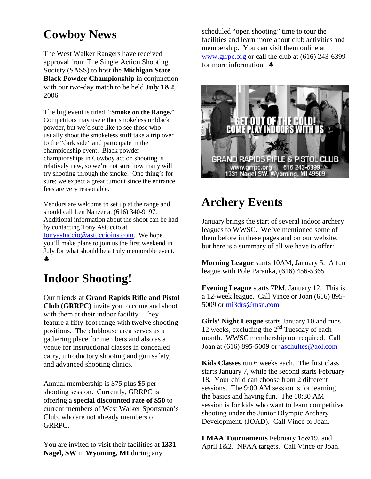#### **Cowboy News**

The West Walker Rangers have received approval from The Single Action Shooting Society (SASS) to host the **Michigan State Black Powder Championship** in conjunction with our two-day match to be held **July 1&2**, 2006.

The big event is titled, "**Smoke on the Range.**" Competitors may use either smokeless or black powder, but we'd sure like to see those who usually shoot the smokeless stuff take a trip over to the "dark side" and participate in the championship event. Black powder championships in Cowboy action shooting is relatively new, so we're not sure how many will try shooting through the smoke! One thing's for sure; we expect a great turnout since the entrance fees are very reasonable.

Vendors are welcome to set up at the range and should call Len Nanzer at (616) 340-9197. Additional information about the shoot can be had by contacting Tony Astuccio at tonyastuccio@astuccioins.com. We hope you'll make plans to join us the first weekend in July for what should be a truly memorable event. ♣

#### **Indoor Shooting!**

Our friends at **Grand Rapids Rifle and Pistol Club (GRRPC)** invite you to come and shoot with them at their indoor facility. They feature a fifty-foot range with twelve shooting positions. The clubhouse area serves as a gathering place for members and also as a venue for instructional classes in concealed carry, introductory shooting and gun safety, and advanced shooting clinics.

Annual membership is \$75 plus \$5 per shooting session. Currently, GRRPC is offering a **special discounted rate of \$50** to current members of West Walker Sportsman's Club, who are not already members of GRRPC.

You are invited to visit their facilities at **1331 Nagel, SW** in **Wyoming, MI** during any

scheduled "open shooting" time to tour the facilities and learn more about club activities and membership. You can visit them online at www.grrpc.org or call the club at (616) 243-6399 for more information. ♣



#### **Archery Events**

January brings the start of several indoor archery leagues to WWSC. We've mentioned some of them before in these pages and on our website, but here is a summary of all we have to offer:

**Morning League** starts 10AM, January 5. A fun league with Pole Parauka, (616) 456-5365

**Evening League** starts 7PM, January 12. This is a 12-week league. Call Vince or Joan (616) 895- 5009 or mi3drs@msn.com

**Girls' Night League** starts January 10 and runs 12 weeks, excluding the  $2<sup>nd</sup>$  Tuesday of each month. WWSC membership not required. Call Joan at  $(616)$  895-5009 or jaschultes@aol.com

**Kids Classes** run 6 weeks each. The first class starts January 7, while the second starts February 18. Your child can choose from 2 different sessions. The 9:00 AM session is for learning the basics and having fun. The 10:30 AM session is for kids who want to learn competitive shooting under the Junior Olympic Archery Development. (JOAD). Call Vince or Joan.

**LMAA Tournaments** February 18&19, and April 1&2. NFAA targets. Call Vince or Joan.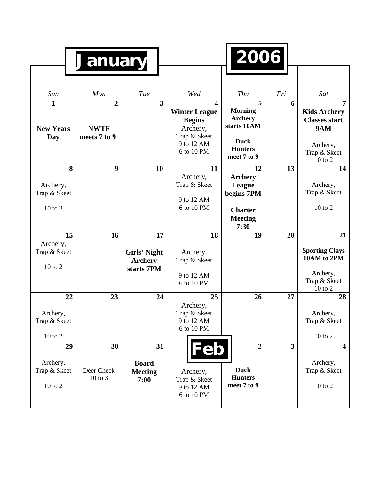|                                                 | <b>January</b>                                |                                                    |                                                                                                                          | 2006                                                                                                 |                         |                                                                                                           |
|-------------------------------------------------|-----------------------------------------------|----------------------------------------------------|--------------------------------------------------------------------------------------------------------------------------|------------------------------------------------------------------------------------------------------|-------------------------|-----------------------------------------------------------------------------------------------------------|
| Sun                                             | Mon                                           | Tue                                                | Wed                                                                                                                      | Thu                                                                                                  | Fri                     | Sat                                                                                                       |
| $\mathbf{1}$<br><b>New Years</b><br>Day         | $\overline{2}$<br><b>NWTF</b><br>meets 7 to 9 | $\overline{\mathbf{3}}$                            | $\overline{\mathbf{4}}$<br><b>Winter League</b><br><b>Begins</b><br>Archery,<br>Trap & Skeet<br>9 to 12 AM<br>6 to 10 PM | 5<br><b>Morning</b><br><b>Archery</b><br>starts 10AM<br><b>Duck</b><br><b>Hunters</b><br>meet 7 to 9 | 6                       | 7<br><b>Kids Archery</b><br><b>Classes start</b><br><b>9AM</b><br>Archery,<br>Trap & Skeet<br>$10$ to $2$ |
| 8<br>Archery,<br>Trap & Skeet<br>10 to 2        | 9                                             | 10                                                 | 11<br>Archery,<br>Trap & Skeet<br>9 to 12 AM<br>6 to 10 PM                                                               | 12<br><b>Archery</b><br>League<br>begins 7PM<br><b>Charter</b><br><b>Meeting</b><br>7:30             | 13                      | 14<br>Archery,<br>Trap & Skeet<br>10 to 2                                                                 |
| 15<br>Archery,<br>Trap & Skeet<br>10 to 2       | 16                                            | 17<br>Girls' Night<br><b>Archery</b><br>starts 7PM | 18<br>Archery,<br>Trap & Skeet<br>9 to 12 AM<br>6 to 10 PM                                                               | 19                                                                                                   | 20                      | 21<br><b>Sporting Clays</b><br>10AM to 2PM<br>Archery,<br>Trap & Skeet<br>$10$ to $2$                     |
| 22<br>Archery,<br>Trap & Skeet<br>10 to 2       | 23                                            | 24                                                 | 25<br>Archery,<br>Trap & Skeet<br>9 to 12 AM<br>6 to 10 PM                                                               | 26                                                                                                   | 27                      | 28<br>Archery,<br>Trap & Skeet<br>$10$ to $2\,$                                                           |
| 29<br>Archery,<br>Trap & Skeet<br>$10$ to $2\,$ | 30<br>Deer Check<br>10 to 3                   | 31<br><b>Board</b><br><b>Meeting</b><br>7:00       | 'eb<br>Archery,<br>Trap & Skeet<br>9 to 12 AM<br>6 to 10 PM                                                              | $\overline{2}$<br><b>Duck</b><br><b>Hunters</b><br>meet 7 to 9                                       | $\overline{\mathbf{3}}$ | $\overline{\mathbf{4}}$<br>Archery,<br>Trap & Skeet<br>$10$ to $2$                                        |